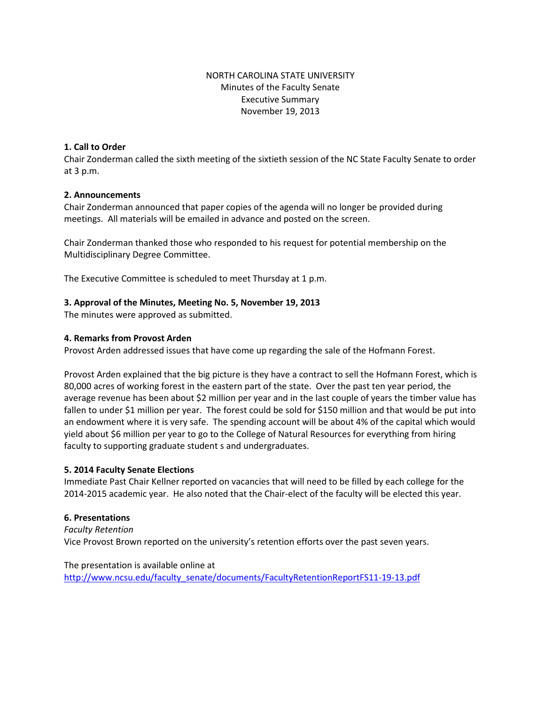# NORTH CAROLINA STATE UNIVERSITY Minutes of the Faculty Senate Executive Summary November 19, 2013

## **1. Call to Order**

Chair Zonderman called the sixth meeting of the sixtieth session of the NC State Faculty Senate to order at 3 p.m.

#### **2. Announcements**

Chair Zonderman announced that paper copies of the agenda will no longer be provided during meetings. All materials will be emailed in advance and posted on the screen.

Chair Zonderman thanked those who responded to his request for potential membership on the Multidisciplinary Degree Committee.

The Executive Committee is scheduled to meet Thursday at 1 p.m.

### **3. Approval of the Minutes, Meeting No. 5, November 19, 2013**

The minutes were approved as submitted.

### **4. Remarks from Provost Arden**

Provost Arden addressed issues that have come up regarding the sale of the Hofmann Forest.

Provost Arden explained that the big picture is they have a contract to sell the Hofmann Forest, which is 80,000 acres of working forest in the eastern part of the state. Over the past ten year period, the average revenue has been about \$2 million per year and in the last couple of years the timber value has fallen to under \$1 million per year. The forest could be sold for \$150 million and that would be put into an endowment where it is very safe. The spending account will be about 4% of the capital which would yield about \$6 million per year to go to the College of Natural Resources for everything from hiring faculty to supporting graduate student s and undergraduates.

#### **5. 2014 Faculty Senate Elections**

Immediate Past Chair Kellner reported on vacancies that will need to be filled by each college for the 2014-2015 academic year. He also noted that the Chair-elect of the faculty will be elected this year.

#### **6. Presentations**

*Faculty Retention* Vice Provost Brown reported on the university's retention efforts over the past seven years.

The presentation is available online at [http://www.ncsu.edu/faculty\\_senate/documents/FacultyRetentionReportFS11-19-13.pdf](http://www.ncsu.edu/faculty_senate/documents/FacultyRetentionReportFS11-19-13.pdf)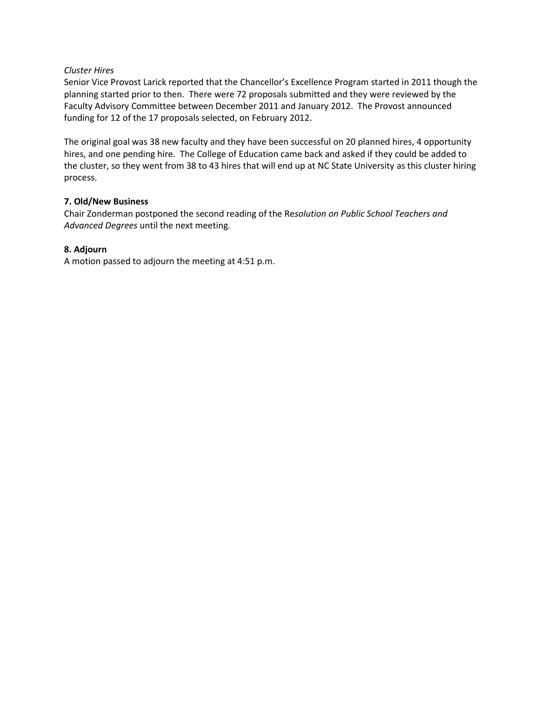## *Cluster Hires*

Senior Vice Provost Larick reported that the Chancellor's Excellence Program started in 2011 though the planning started prior to then. There were 72 proposals submitted and they were reviewed by the Faculty Advisory Committee between December 2011 and January 2012. The Provost announced funding for 12 of the 17 proposals selected, on February 2012.

The original goal was 38 new faculty and they have been successful on 20 planned hires, 4 opportunity hires, and one pending hire. The College of Education came back and asked if they could be added to the cluster, so they went from 38 to 43 hires that will end up at NC State University as this cluster hiring process.

## **7. Old/New Business**

Chair Zonderman postponed the second reading of the Re*solution on Public School Teachers and Advanced Degrees* until the next meeting*.* 

## **8. Adjourn**

A motion passed to adjourn the meeting at 4:51 p.m.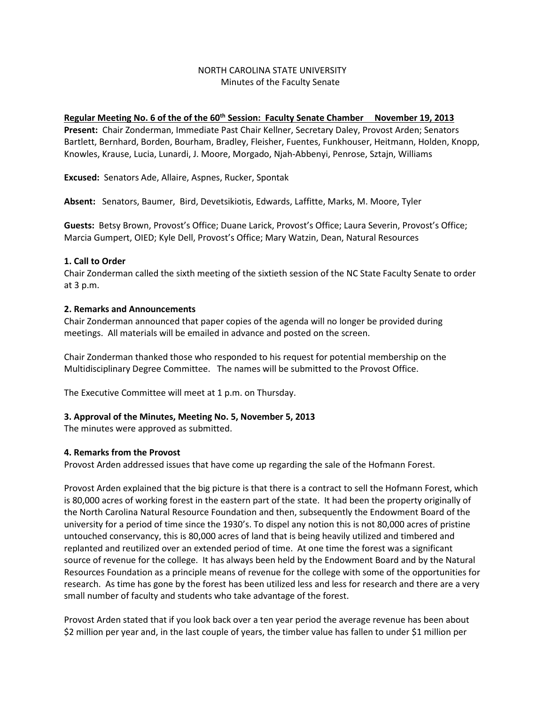## NORTH CAROLINA STATE UNIVERSITY Minutes of the Faculty Senate

### **Regular Meeting No. 6 of the of the 60th Session: Faculty Senate Chamber November 19, 2013**

**Present:** Chair Zonderman, Immediate Past Chair Kellner, Secretary Daley, Provost Arden; Senators Bartlett, Bernhard, Borden, Bourham, Bradley, Fleisher, Fuentes, Funkhouser, Heitmann, Holden, Knopp, Knowles, Krause, Lucia, Lunardi, J. Moore, Morgado, Njah-Abbenyi, Penrose, Sztajn, Williams

**Excused:** Senators Ade, Allaire, Aspnes, Rucker, Spontak

**Absent:** Senators, Baumer, Bird, Devetsikiotis, Edwards, Laffitte, Marks, M. Moore, Tyler

**Guests:** Betsy Brown, Provost's Office; Duane Larick, Provost's Office; Laura Severin, Provost's Office; Marcia Gumpert, OIED; Kyle Dell, Provost's Office; Mary Watzin, Dean, Natural Resources

### **1. Call to Order**

Chair Zonderman called the sixth meeting of the sixtieth session of the NC State Faculty Senate to order at 3 p.m.

### **2. Remarks and Announcements**

Chair Zonderman announced that paper copies of the agenda will no longer be provided during meetings. All materials will be emailed in advance and posted on the screen.

Chair Zonderman thanked those who responded to his request for potential membership on the Multidisciplinary Degree Committee. The names will be submitted to the Provost Office.

The Executive Committee will meet at 1 p.m. on Thursday.

## **3. Approval of the Minutes, Meeting No. 5, November 5, 2013**

The minutes were approved as submitted.

#### **4. Remarks from the Provost**

Provost Arden addressed issues that have come up regarding the sale of the Hofmann Forest.

Provost Arden explained that the big picture is that there is a contract to sell the Hofmann Forest, which is 80,000 acres of working forest in the eastern part of the state. It had been the property originally of the North Carolina Natural Resource Foundation and then, subsequently the Endowment Board of the university for a period of time since the 1930's. To dispel any notion this is not 80,000 acres of pristine untouched conservancy, this is 80,000 acres of land that is being heavily utilized and timbered and replanted and reutilized over an extended period of time. At one time the forest was a significant source of revenue for the college. It has always been held by the Endowment Board and by the Natural Resources Foundation as a principle means of revenue for the college with some of the opportunities for research. As time has gone by the forest has been utilized less and less for research and there are a very small number of faculty and students who take advantage of the forest.

Provost Arden stated that if you look back over a ten year period the average revenue has been about \$2 million per year and, in the last couple of years, the timber value has fallen to under \$1 million per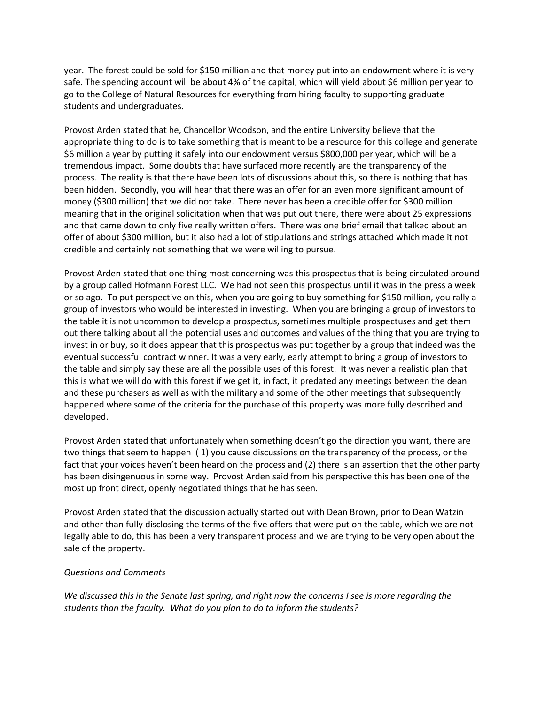year. The forest could be sold for \$150 million and that money put into an endowment where it is very safe. The spending account will be about 4% of the capital, which will yield about \$6 million per year to go to the College of Natural Resources for everything from hiring faculty to supporting graduate students and undergraduates.

Provost Arden stated that he, Chancellor Woodson, and the entire University believe that the appropriate thing to do is to take something that is meant to be a resource for this college and generate \$6 million a year by putting it safely into our endowment versus \$800,000 per year, which will be a tremendous impact. Some doubts that have surfaced more recently are the transparency of the process. The reality is that there have been lots of discussions about this, so there is nothing that has been hidden. Secondly, you will hear that there was an offer for an even more significant amount of money (\$300 million) that we did not take. There never has been a credible offer for \$300 million meaning that in the original solicitation when that was put out there, there were about 25 expressions and that came down to only five really written offers. There was one brief email that talked about an offer of about \$300 million, but it also had a lot of stipulations and strings attached which made it not credible and certainly not something that we were willing to pursue.

Provost Arden stated that one thing most concerning was this prospectus that is being circulated around by a group called Hofmann Forest LLC. We had not seen this prospectus until it was in the press a week or so ago. To put perspective on this, when you are going to buy something for \$150 million, you rally a group of investors who would be interested in investing. When you are bringing a group of investors to the table it is not uncommon to develop a prospectus, sometimes multiple prospectuses and get them out there talking about all the potential uses and outcomes and values of the thing that you are trying to invest in or buy, so it does appear that this prospectus was put together by a group that indeed was the eventual successful contract winner. It was a very early, early attempt to bring a group of investors to the table and simply say these are all the possible uses of this forest. It was never a realistic plan that this is what we will do with this forest if we get it, in fact, it predated any meetings between the dean and these purchasers as well as with the military and some of the other meetings that subsequently happened where some of the criteria for the purchase of this property was more fully described and developed.

Provost Arden stated that unfortunately when something doesn't go the direction you want, there are two things that seem to happen ( 1) you cause discussions on the transparency of the process, or the fact that your voices haven't been heard on the process and (2) there is an assertion that the other party has been disingenuous in some way. Provost Arden said from his perspective this has been one of the most up front direct, openly negotiated things that he has seen.

Provost Arden stated that the discussion actually started out with Dean Brown, prior to Dean Watzin and other than fully disclosing the terms of the five offers that were put on the table, which we are not legally able to do, this has been a very transparent process and we are trying to be very open about the sale of the property.

#### *Questions and Comments*

*We discussed this in the Senate last spring, and right now the concerns I see is more regarding the students than the faculty. What do you plan to do to inform the students?*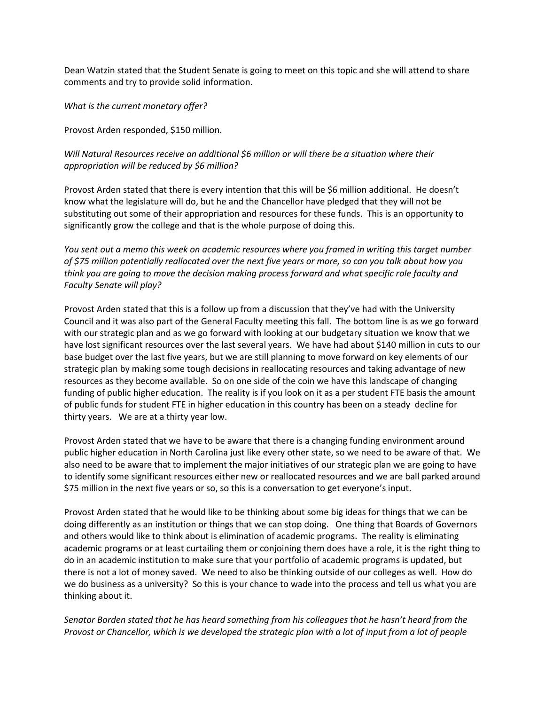Dean Watzin stated that the Student Senate is going to meet on this topic and she will attend to share comments and try to provide solid information.

*What is the current monetary offer?*

Provost Arden responded, \$150 million.

*Will Natural Resources receive an additional \$6 million or will there be a situation where their appropriation will be reduced by \$6 million?*

Provost Arden stated that there is every intention that this will be \$6 million additional. He doesn't know what the legislature will do, but he and the Chancellor have pledged that they will not be substituting out some of their appropriation and resources for these funds. This is an opportunity to significantly grow the college and that is the whole purpose of doing this.

*You sent out a memo this week on academic resources where you framed in writing this target number of \$75 million potentially reallocated over the next five years or more, so can you talk about how you think you are going to move the decision making process forward and what specific role faculty and Faculty Senate will play?*

Provost Arden stated that this is a follow up from a discussion that they've had with the University Council and it was also part of the General Faculty meeting this fall. The bottom line is as we go forward with our strategic plan and as we go forward with looking at our budgetary situation we know that we have lost significant resources over the last several years. We have had about \$140 million in cuts to our base budget over the last five years, but we are still planning to move forward on key elements of our strategic plan by making some tough decisions in reallocating resources and taking advantage of new resources as they become available. So on one side of the coin we have this landscape of changing funding of public higher education. The reality is if you look on it as a per student FTE basis the amount of public funds for student FTE in higher education in this country has been on a steady decline for thirty years. We are at a thirty year low.

Provost Arden stated that we have to be aware that there is a changing funding environment around public higher education in North Carolina just like every other state, so we need to be aware of that. We also need to be aware that to implement the major initiatives of our strategic plan we are going to have to identify some significant resources either new or reallocated resources and we are ball parked around \$75 million in the next five years or so, so this is a conversation to get everyone's input.

Provost Arden stated that he would like to be thinking about some big ideas for things that we can be doing differently as an institution or things that we can stop doing. One thing that Boards of Governors and others would like to think about is elimination of academic programs. The reality is eliminating academic programs or at least curtailing them or conjoining them does have a role, it is the right thing to do in an academic institution to make sure that your portfolio of academic programs is updated, but there is not a lot of money saved. We need to also be thinking outside of our colleges as well. How do we do business as a university? So this is your chance to wade into the process and tell us what you are thinking about it.

*Senator Borden stated that he has heard something from his colleagues that he hasn't heard from the Provost or Chancellor, which is we developed the strategic plan with a lot of input from a lot of people*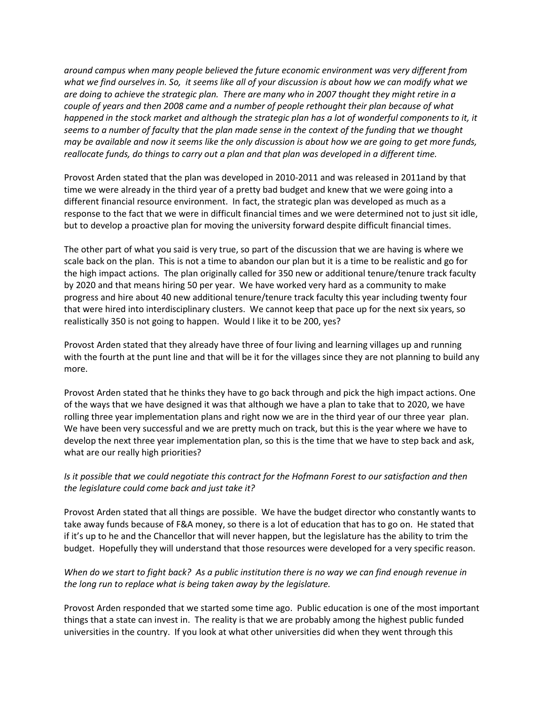*around campus when many people believed the future economic environment was very different from what we find ourselves in. So, it seems like all of your discussion is about how we can modify what we are doing to achieve the strategic plan. There are many who in 2007 thought they might retire in a couple of years and then 2008 came and a number of people rethought their plan because of what*  happened in the stock market and although the strategic plan has a lot of wonderful components to it, it *seems to a number of faculty that the plan made sense in the context of the funding that we thought may be available and now it seems like the only discussion is about how we are going to get more funds, reallocate funds, do things to carry out a plan and that plan was developed in a different time.* 

Provost Arden stated that the plan was developed in 2010-2011 and was released in 2011and by that time we were already in the third year of a pretty bad budget and knew that we were going into a different financial resource environment. In fact, the strategic plan was developed as much as a response to the fact that we were in difficult financial times and we were determined not to just sit idle, but to develop a proactive plan for moving the university forward despite difficult financial times.

The other part of what you said is very true, so part of the discussion that we are having is where we scale back on the plan. This is not a time to abandon our plan but it is a time to be realistic and go for the high impact actions. The plan originally called for 350 new or additional tenure/tenure track faculty by 2020 and that means hiring 50 per year. We have worked very hard as a community to make progress and hire about 40 new additional tenure/tenure track faculty this year including twenty four that were hired into interdisciplinary clusters. We cannot keep that pace up for the next six years, so realistically 350 is not going to happen. Would I like it to be 200, yes?

Provost Arden stated that they already have three of four living and learning villages up and running with the fourth at the punt line and that will be it for the villages since they are not planning to build any more.

Provost Arden stated that he thinks they have to go back through and pick the high impact actions. One of the ways that we have designed it was that although we have a plan to take that to 2020, we have rolling three year implementation plans and right now we are in the third year of our three year plan. We have been very successful and we are pretty much on track, but this is the year where we have to develop the next three year implementation plan, so this is the time that we have to step back and ask, what are our really high priorities?

# *Is it possible that we could negotiate this contract for the Hofmann Forest to our satisfaction and then the legislature could come back and just take it?*

Provost Arden stated that all things are possible. We have the budget director who constantly wants to take away funds because of F&A money, so there is a lot of education that has to go on. He stated that if it's up to he and the Chancellor that will never happen, but the legislature has the ability to trim the budget. Hopefully they will understand that those resources were developed for a very specific reason.

# *When do we start to fight back? As a public institution there is no way we can find enough revenue in the long run to replace what is being taken away by the legislature.*

Provost Arden responded that we started some time ago. Public education is one of the most important things that a state can invest in. The reality is that we are probably among the highest public funded universities in the country. If you look at what other universities did when they went through this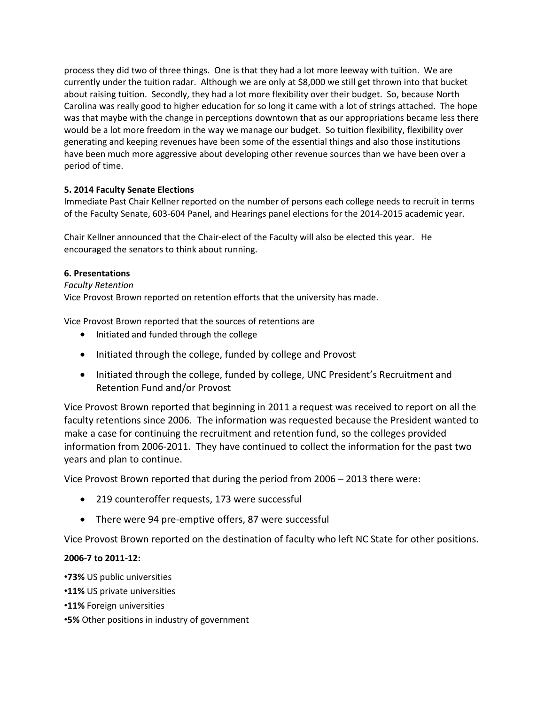process they did two of three things. One is that they had a lot more leeway with tuition. We are currently under the tuition radar. Although we are only at \$8,000 we still get thrown into that bucket about raising tuition. Secondly, they had a lot more flexibility over their budget. So, because North Carolina was really good to higher education for so long it came with a lot of strings attached. The hope was that maybe with the change in perceptions downtown that as our appropriations became less there would be a lot more freedom in the way we manage our budget. So tuition flexibility, flexibility over generating and keeping revenues have been some of the essential things and also those institutions have been much more aggressive about developing other revenue sources than we have been over a period of time.

# **5. 2014 Faculty Senate Elections**

Immediate Past Chair Kellner reported on the number of persons each college needs to recruit in terms of the Faculty Senate, 603-604 Panel, and Hearings panel elections for the 2014-2015 academic year.

Chair Kellner announced that the Chair-elect of the Faculty will also be elected this year. He encouraged the senators to think about running.

## **6. Presentations**

*Faculty Retention*

Vice Provost Brown reported on retention efforts that the university has made.

Vice Provost Brown reported that the sources of retentions are

- Initiated and funded through the college
- Initiated through the college, funded by college and Provost
- Initiated through the college, funded by college, UNC President's Recruitment and Retention Fund and/or Provost

Vice Provost Brown reported that beginning in 2011 a request was received to report on all the faculty retentions since 2006. The information was requested because the President wanted to make a case for continuing the recruitment and retention fund, so the colleges provided information from 2006-2011. They have continued to collect the information for the past two years and plan to continue.

Vice Provost Brown reported that during the period from 2006 – 2013 there were:

- 219 counteroffer requests, 173 were successful
- There were 94 pre-emptive offers, 87 were successful

Vice Provost Brown reported on the destination of faculty who left NC State for other positions.

## **2006-7 to 2011-12:**

- •**73%** US public universities
- •**11%** US private universities
- •**11%** Foreign universities
- •**5%** Other positions in industry of government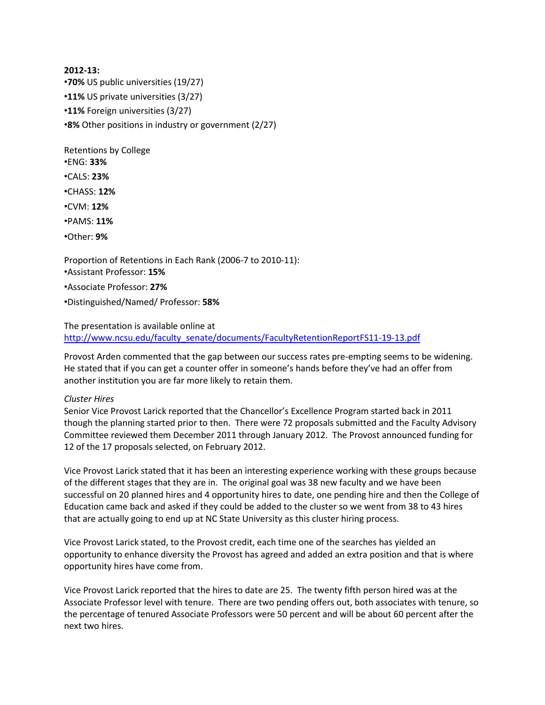**2012-13:**  •**70%** US public universities (19/27) •**11%** US private universities (3/27) •**11%** Foreign universities (3/27) •**8%** Other positions in industry or government (2/27)

Retentions by College •ENG: **33%** 

- •CALS: **23%**
- •CHASS: **12%**
- •CVM: **12%**
- •PAMS: **11%**
- •Other: **9%**

Proportion of Retentions in Each Rank (2006-7 to 2010-11): •Assistant Professor: **15%**  •Associate Professor: **27%**  •Distinguished/Named/ Professor: **58%** 

# The presentation is available online at [http://www.ncsu.edu/faculty\\_senate/documents/FacultyRetentionReportFS11-19-13.pdf](http://www.ncsu.edu/faculty_senate/documents/FacultyRetentionReportFS11-19-13.pdf)

Provost Arden commented that the gap between our success rates pre-empting seems to be widening. He stated that if you can get a counter offer in someone's hands before they've had an offer from another institution you are far more likely to retain them.

# *Cluster Hires*

Senior Vice Provost Larick reported that the Chancellor's Excellence Program started back in 2011 though the planning started prior to then. There were 72 proposals submitted and the Faculty Advisory Committee reviewed them December 2011 through January 2012. The Provost announced funding for 12 of the 17 proposals selected, on February 2012.

Vice Provost Larick stated that it has been an interesting experience working with these groups because of the different stages that they are in. The original goal was 38 new faculty and we have been successful on 20 planned hires and 4 opportunity hires to date, one pending hire and then the College of Education came back and asked if they could be added to the cluster so we went from 38 to 43 hires that are actually going to end up at NC State University as this cluster hiring process.

Vice Provost Larick stated, to the Provost credit, each time one of the searches has yielded an opportunity to enhance diversity the Provost has agreed and added an extra position and that is where opportunity hires have come from.

Vice Provost Larick reported that the hires to date are 25. The twenty fifth person hired was at the Associate Professor level with tenure. There are two pending offers out, both associates with tenure, so the percentage of tenured Associate Professors were 50 percent and will be about 60 percent after the next two hires.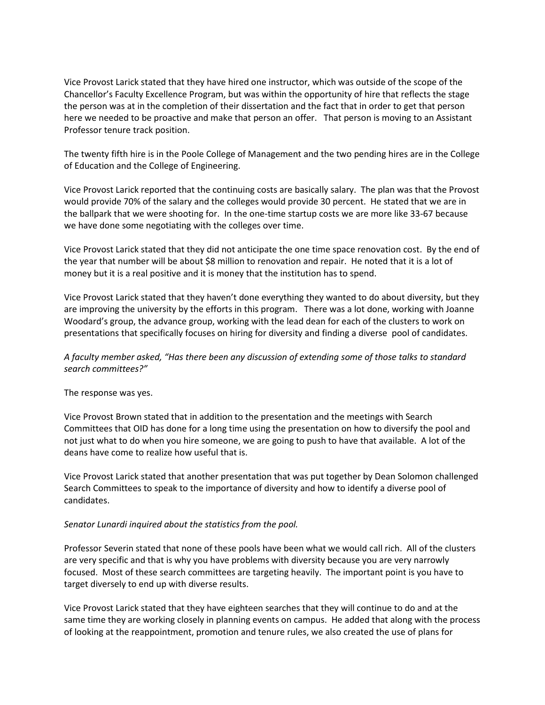Vice Provost Larick stated that they have hired one instructor, which was outside of the scope of the Chancellor's Faculty Excellence Program, but was within the opportunity of hire that reflects the stage the person was at in the completion of their dissertation and the fact that in order to get that person here we needed to be proactive and make that person an offer. That person is moving to an Assistant Professor tenure track position.

The twenty fifth hire is in the Poole College of Management and the two pending hires are in the College of Education and the College of Engineering.

Vice Provost Larick reported that the continuing costs are basically salary. The plan was that the Provost would provide 70% of the salary and the colleges would provide 30 percent. He stated that we are in the ballpark that we were shooting for. In the one-time startup costs we are more like 33-67 because we have done some negotiating with the colleges over time.

Vice Provost Larick stated that they did not anticipate the one time space renovation cost. By the end of the year that number will be about \$8 million to renovation and repair. He noted that it is a lot of money but it is a real positive and it is money that the institution has to spend.

Vice Provost Larick stated that they haven't done everything they wanted to do about diversity, but they are improving the university by the efforts in this program. There was a lot done, working with Joanne Woodard's group, the advance group, working with the lead dean for each of the clusters to work on presentations that specifically focuses on hiring for diversity and finding a diverse pool of candidates.

# *A faculty member asked, "Has there been any discussion of extending some of those talks to standard search committees?"*

The response was yes.

Vice Provost Brown stated that in addition to the presentation and the meetings with Search Committees that OID has done for a long time using the presentation on how to diversify the pool and not just what to do when you hire someone, we are going to push to have that available. A lot of the deans have come to realize how useful that is.

Vice Provost Larick stated that another presentation that was put together by Dean Solomon challenged Search Committees to speak to the importance of diversity and how to identify a diverse pool of candidates.

## *Senator Lunardi inquired about the statistics from the pool.*

Professor Severin stated that none of these pools have been what we would call rich. All of the clusters are very specific and that is why you have problems with diversity because you are very narrowly focused. Most of these search committees are targeting heavily. The important point is you have to target diversely to end up with diverse results.

Vice Provost Larick stated that they have eighteen searches that they will continue to do and at the same time they are working closely in planning events on campus. He added that along with the process of looking at the reappointment, promotion and tenure rules, we also created the use of plans for